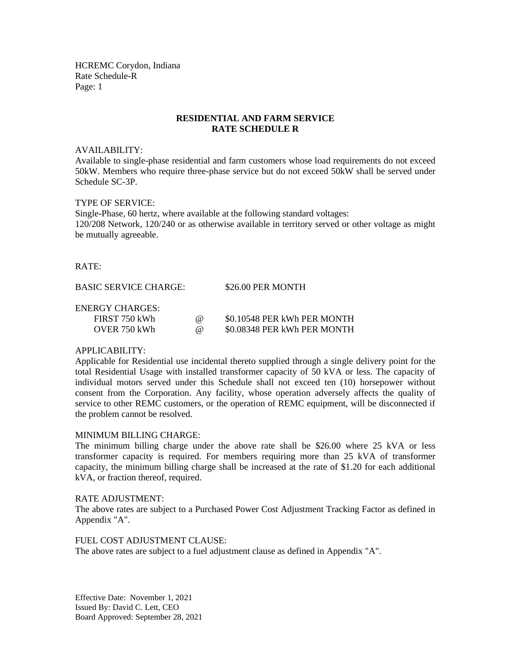HCREMC Corydon, Indiana Rate Schedule-R Page: 1

## **RESIDENTIAL AND FARM SERVICE RATE SCHEDULE R**

#### AVAILABILITY:

Available to single-phase residential and farm customers whose load requirements do not exceed 50kW. Members who require three-phase service but do not exceed 50kW shall be served under Schedule SC-3P.

## TYPE OF SERVICE:

Single-Phase, 60 hertz, where available at the following standard voltages: 120/208 Network, 120/240 or as otherwise available in territory served or other voltage as might be mutually agreeable.

#### RATE:

BASIC SERVICE CHARGE: \$26.00 PER MONTH

#### ENERGY CHARGES:

| FIRST 750 kWh | $\omega$ | \$0.10548 PER kWh PER MONTH |
|---------------|----------|-----------------------------|
| OVER 750 kWh  | $\omega$ | \$0.08348 PER kWh PER MONTH |

## APPLICABILITY:

Applicable for Residential use incidental thereto supplied through a single delivery point for the total Residential Usage with installed transformer capacity of 50 kVA or less. The capacity of individual motors served under this Schedule shall not exceed ten (10) horsepower without consent from the Corporation. Any facility, whose operation adversely affects the quality of service to other REMC customers, or the operation of REMC equipment, will be disconnected if the problem cannot be resolved.

## MINIMUM BILLING CHARGE:

The minimum billing charge under the above rate shall be \$26.00 where 25 kVA or less transformer capacity is required. For members requiring more than 25 kVA of transformer capacity, the minimum billing charge shall be increased at the rate of \$1.20 for each additional kVA, or fraction thereof, required.

## RATE ADJUSTMENT:

The above rates are subject to a Purchased Power Cost Adjustment Tracking Factor as defined in Appendix "A".

FUEL COST ADJUSTMENT CLAUSE:

The above rates are subject to a fuel adjustment clause as defined in Appendix "A".

Effective Date: November 1, 2021 Issued By: David C. Lett, CEO Board Approved: September 28, 2021